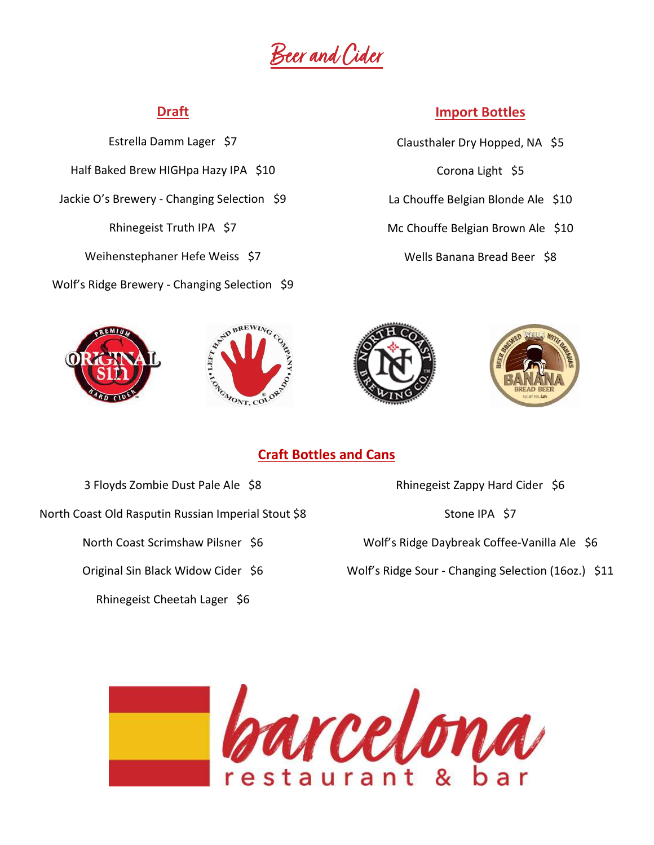<u>Beer and Cider</u>

#### Draft

Estrella Damm Lager \$7 Half Baked Brew HIGHpa Hazy IPA \$10 Jackie O's Brewery - Changing Selection \$9 Rhinegeist Truth IPA \$7 Weihenstephaner Hefe Weiss \$7 Wolf's Ridge Brewery - Changing Selection \$9





#### Import Bottles

- Clausthaler Dry Hopped, NA \$5 Corona Light \$5
- La Chouffe Belgian Blonde Ale \$10
- Mc Chouffe Belgian Brown Ale \$10
	- Wells Banana Bread Beer \$8





#### Craft Bottles and Cans

3 Floyds Zombie Dust Pale Ale \$8

North Coast Old Rasputin Russian Imperial Stout \$8

North Coast Scrimshaw Pilsner \$6

Original Sin Black Widow Cider \$6

Rhinegeist Cheetah Lager \$6

Rhinegeist Zappy Hard Cider \$6

Stone IPA \$7

Wolf's Ridge Daybreak Coffee-Vanilla Ale \$6

Wolf's Ridge Sour - Changing Selection (16oz.) \$11

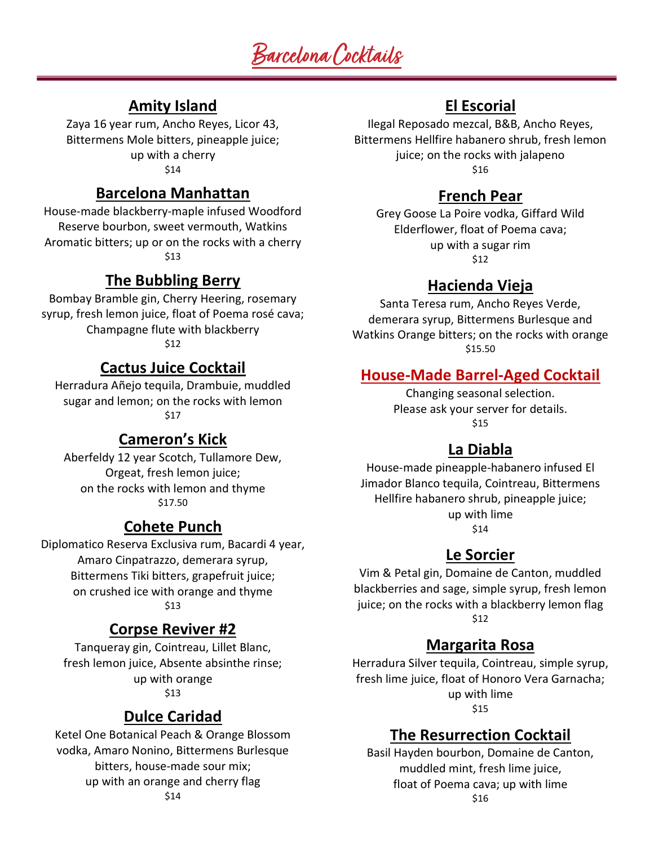# Barcelona Cocktails

# Amity Island

Zaya 16 year rum, Ancho Reyes, Licor 43, Bittermens Mole bitters, pineapple juice; up with a cherry \$14

#### Barcelona Manhattan

House-made blackberry-maple infused Woodford Reserve bourbon, sweet vermouth, Watkins Aromatic bitters; up or on the rocks with a cherry \$13

#### The Bubbling Berry

Bombay Bramble gin, Cherry Heering, rosemary syrup, fresh lemon juice, float of Poema rosé cava; Champagne flute with blackberry \$12

#### Cactus Juice Cocktail

Herradura Añejo tequila, Drambuie, muddled sugar and lemon; on the rocks with lemon \$17

#### Cameron's Kick

Aberfeldy 12 year Scotch, Tullamore Dew, Orgeat, fresh lemon juice; on the rocks with lemon and thyme \$17.50

### Cohete Punch

Diplomatico Reserva Exclusiva rum, Bacardi 4 year, Amaro Cinpatrazzo, demerara syrup, Bittermens Tiki bitters, grapefruit juice; on crushed ice with orange and thyme \$13

#### Corpse Reviver #2

Tanqueray gin, Cointreau, Lillet Blanc, fresh lemon juice, Absente absinthe rinse; up with orange \$13

#### Dulce Caridad

Ketel One Botanical Peach & Orange Blossom vodka, Amaro Nonino, Bittermens Burlesque bitters, house-made sour mix; up with an orange and cherry flag \$14

# El Escorial

Ilegal Reposado mezcal, B&B, Ancho Reyes, Bittermens Hellfire habanero shrub, fresh lemon juice; on the rocks with jalapeno \$16

#### French Pear

Grey Goose La Poire vodka, Giffard Wild Elderflower, float of Poema cava; up with a sugar rim \$12

#### Hacienda Vieja

Santa Teresa rum, Ancho Reyes Verde, demerara syrup, Bittermens Burlesque and Watkins Orange bitters; on the rocks with orange \$15.50

#### House-Made Barrel-Aged Cocktail

Changing seasonal selection. Please ask your server for details. \$15

#### La Diabla

House-made pineapple-habanero infused El Jimador Blanco tequila, Cointreau, Bittermens Hellfire habanero shrub, pineapple juice; up with lime \$14

#### Le Sorcier

Vim & Petal gin, Domaine de Canton, muddled blackberries and sage, simple syrup, fresh lemon juice; on the rocks with a blackberry lemon flag \$12

#### Margarita Rosa

Herradura Silver tequila, Cointreau, simple syrup, fresh lime juice, float of Honoro Vera Garnacha; up with lime \$15

#### The Resurrection Cocktail

Basil Hayden bourbon, Domaine de Canton, muddled mint, fresh lime juice, float of Poema cava; up with lime \$16